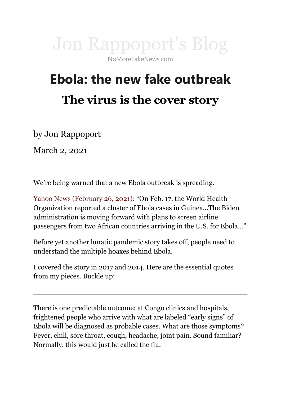

## **Ebola: the new fake outbreak The virus is the cover story**

by Jon Rappoport

March 2, 2021

We're being warned that a new Ebola outbreak is spreading.

[Yahoo News \(February 26, 2021\)](https://news.yahoo.com/exclusive-white-house-preparing-order-for-enhanced-airport-screenings-for-ebola-203354978.html): "On Feb. 17, the World Health Organization reported a cluster of Ebola cases in Guinea…The Biden administration is moving forward with plans to screen airline passengers from two African countries arriving in the U.S. for Ebola…"

Before yet another lunatic pandemic story takes off, people need to understand the multiple hoaxes behind Ebola.

I covered the story in 2017 and 2014. Here are the essential quotes from my pieces. Buckle up:

There is one predictable outcome: at Congo clinics and hospitals, frightened people who arrive with what are labeled "early signs" of Ebola will be diagnosed as probable cases. What are those symptoms? Fever, chill, sore throat, cough, headache, joint pain. Sound familiar? Normally, this would just be called the flu.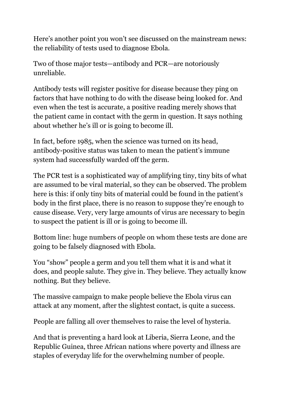Here's another point you won't see discussed on the mainstream news: the reliability of tests used to diagnose Ebola.

Two of those major tests—antibody and PCR—are notoriously unreliable.

Antibody tests will register positive for disease because they ping on factors that have nothing to do with the disease being looked for. And even when the test is accurate, a positive reading merely shows that the patient came in contact with the germ in question. It says nothing about whether he's ill or is going to become ill.

In fact, before 1985, when the science was turned on its head, antibody-positive status was taken to mean the patient's immune system had successfully warded off the germ.

The PCR test is a sophisticated way of amplifying tiny, tiny bits of what are assumed to be viral material, so they can be observed. The problem here is this: if only tiny bits of material could be found in the patient's body in the first place, there is no reason to suppose they're enough to cause disease. Very, very large amounts of virus are necessary to begin to suspect the patient is ill or is going to become ill.

Bottom line: huge numbers of people on whom these tests are done are going to be falsely diagnosed with Ebola.

You "show" people a germ and you tell them what it is and what it does, and people salute. They give in. They believe. They actually know nothing. But they believe.

The massive campaign to make people believe the Ebola virus can attack at any moment, after the slightest contact, is quite a success.

People are falling all over themselves to raise the level of hysteria.

And that is preventing a hard look at Liberia, Sierra Leone, and the Republic Guinea, three African nations where poverty and illness are staples of everyday life for the overwhelming number of people.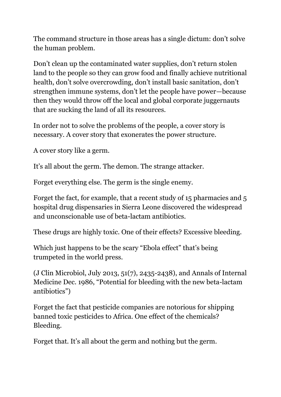The command structure in those areas has a single dictum: don't solve the human problem.

Don't clean up the contaminated water supplies, don't return stolen land to the people so they can grow food and finally achieve nutritional health, don't solve overcrowding, don't install basic sanitation, don't strengthen immune systems, don't let the people have power—because then they would throw off the local and global corporate juggernauts that are sucking the land of all its resources.

In order not to solve the problems of the people, a cover story is necessary. A cover story that exonerates the power structure.

A cover story like a germ.

It's all about the germ. The demon. The strange attacker.

Forget everything else. The germ is the single enemy.

Forget the fact, for example, that a recent study of 15 pharmacies and 5 hospital drug dispensaries in Sierra Leone discovered the widespread and unconscionable use of beta-lactam antibiotics.

These drugs are highly toxic. One of their effects? Excessive bleeding.

Which just happens to be the scary "Ebola effect" that's being trumpeted in the world press.

(J Clin Microbiol, July 2013, 51(7), 2435-2438), and Annals of Internal Medicine Dec. 1986, "Potential for bleeding with the new beta-lactam antibiotics")

Forget the fact that pesticide companies are notorious for shipping banned toxic pesticides to Africa. One effect of the chemicals? Bleeding.

Forget that. It's all about the germ and nothing but the germ.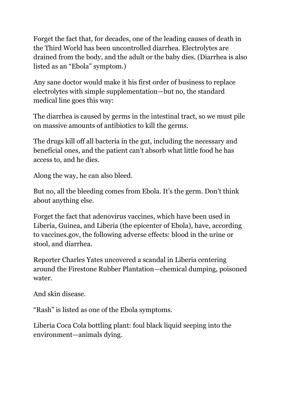Forget the fact that, for decades, one of the leading causes of death in the Third World has been uncontrolled diarrhea. Electrolytes are drained from the body, and the adult or the baby dies. (Diarrhea is also listed as an "Ebola" symptom.)

Any sane doctor would make it his first order of business to replace electrolytes with simple supplementation—but no, the standard medical line goes this way:

The diarrhea is caused by germs in the intestinal tract, so we must pile on massive amounts of antibiotics to kill the germs.

The drugs kill off all bacteria in the gut, including the necessary and beneficial ones, and the patient can't absorb what little food he has access to, and he dies.

Along the way, he can also bleed.

But no, all the bleeding comes from Ebola. It's the germ. Don't think about anything else.

Forget the fact that adenovirus vaccines, which have been used in Liberia, Guinea, and Liberia (the epicenter of Ebola), have, according to vaccines.gov, the following adverse effects: blood in the urine or stool, and diarrhea.

Reporter Charles Yates uncovered a scandal in Liberia centering around the Firestone Rubber Plantation—chemical dumping, poisoned water.

And skin disease.

"Rash" is listed as one of the Ebola symptoms.

Liberia Coca Cola bottling plant: foul black liquid seeping into the environment—animals dying.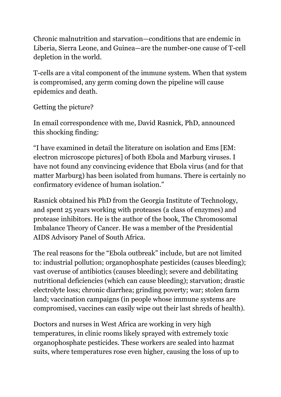Chronic malnutrition and starvation—conditions that are endemic in Liberia, Sierra Leone, and Guinea—are the number-one cause of T-cell depletion in the world.

T-cells are a vital component of the immune system. When that system is compromised, any germ coming down the pipeline will cause epidemics and death.

Getting the picture?

In email correspondence with me, David Rasnick, PhD, announced this shocking finding:

"I have examined in detail the literature on isolation and Ems [EM: electron microscope pictures] of both Ebola and Marburg viruses. I have not found any convincing evidence that Ebola virus (and for that matter Marburg) has been isolated from humans. There is certainly no confirmatory evidence of human isolation."

Rasnick obtained his PhD from the Georgia Institute of Technology, and spent 25 years working with proteases (a class of enzymes) and protease inhibitors. He is the author of the book, The Chromosomal Imbalance Theory of Cancer. He was a member of the Presidential AIDS Advisory Panel of South Africa.

The real reasons for the "Ebola outbreak" include, but are not limited to: industrial pollution; organophosphate pesticides (causes bleeding); vast overuse of antibiotics (causes bleeding); severe and debilitating nutritional deficiencies (which can cause bleeding); starvation; drastic electrolyte loss; chronic diarrhea; grinding poverty; war; stolen farm land; vaccination campaigns (in people whose immune systems are compromised, vaccines can easily wipe out their last shreds of health).

Doctors and nurses in West Africa are working in very high temperatures, in clinic rooms likely sprayed with extremely toxic organophosphate pesticides. These workers are sealed into hazmat suits, where temperatures rose even higher, causing the loss of up to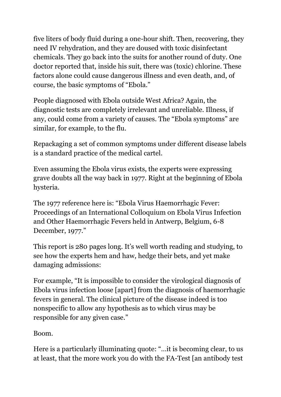five liters of body fluid during a one-hour shift. Then, recovering, they need IV rehydration, and they are doused with toxic disinfectant chemicals. They go back into the suits for another round of duty. One doctor reported that, inside his suit, there was (toxic) chlorine. These factors alone could cause dangerous illness and even death, and, of course, the basic symptoms of "Ebola."

People diagnosed with Ebola outside West Africa? Again, the diagnostic tests are completely irrelevant and unreliable. Illness, if any, could come from a variety of causes. The "Ebola symptoms" are similar, for example, to the flu.

Repackaging a set of common symptoms under different disease labels is a standard practice of the medical cartel.

Even assuming the Ebola virus exists, the experts were expressing grave doubts all the way back in 1977. Right at the beginning of Ebola hysteria.

The 1977 reference here is: "Ebola Virus Haemorrhagic Fever: Proceedings of an International Colloquium on Ebola Virus Infection and Other Haemorrhagic Fevers held in Antwerp, Belgium, 6-8 December, 1977."

This report is 280 pages long. It's well worth reading and studying, to see how the experts hem and haw, hedge their bets, and yet make damaging admissions:

For example, "It is impossible to consider the virological diagnosis of Ebola virus infection loose [apart] from the diagnosis of haemorrhagic fevers in general. The clinical picture of the disease indeed is too nonspecific to allow any hypothesis as to which virus may be responsible for any given case."

Boom.

Here is a particularly illuminating quote: "…it is becoming clear, to us at least, that the more work you do with the FA-Test [an antibody test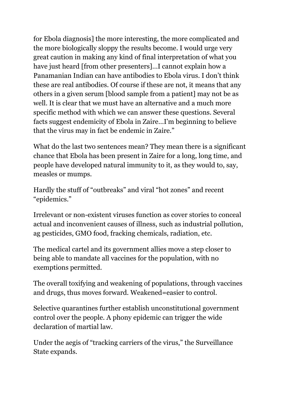for Ebola diagnosis] the more interesting, the more complicated and the more biologically sloppy the results become. I would urge very great caution in making any kind of final interpretation of what you have just heard [from other presenters]…I cannot explain how a Panamanian Indian can have antibodies to Ebola virus. I don't think these are real antibodies. Of course if these are not, it means that any others in a given serum [blood sample from a patient] may not be as well. It is clear that we must have an alternative and a much more specific method with which we can answer these questions. Several facts suggest endemicity of Ebola in Zaire…I'm beginning to believe that the virus may in fact be endemic in Zaire."

What do the last two sentences mean? They mean there is a significant chance that Ebola has been present in Zaire for a long, long time, and people have developed natural immunity to it, as they would to, say, measles or mumps.

Hardly the stuff of "outbreaks" and viral "hot zones" and recent "epidemics."

Irrelevant or non-existent viruses function as cover stories to conceal actual and inconvenient causes of illness, such as industrial pollution, ag pesticides, GMO food, fracking chemicals, radiation, etc.

The medical cartel and its government allies move a step closer to being able to mandate all vaccines for the population, with no exemptions permitted.

The overall toxifying and weakening of populations, through vaccines and drugs, thus moves forward. Weakened=easier to control.

Selective quarantines further establish unconstitutional government control over the people. A phony epidemic can trigger the wide declaration of martial law.

Under the aegis of "tracking carriers of the virus," the Surveillance State expands.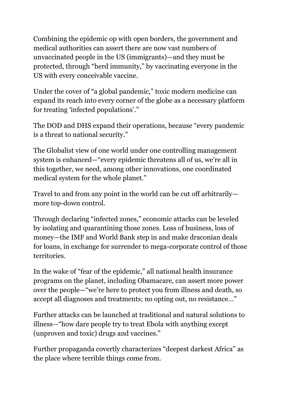Combining the epidemic op with open borders, the government and medical authorities can assert there are now vast numbers of unvaccinated people in the US (immigrants)—and they must be protected, through "herd immunity," by vaccinating everyone in the US with every conceivable vaccine.

Under the cover of "a global pandemic," toxic modern medicine can expand its reach into every corner of the globe as a necessary platform for treating 'infected populations'."

The DOD and DHS expand their operations, because "every pandemic is a threat to national security."

The Globalist view of one world under one controlling management system is enhanced—"every epidemic threatens all of us, we're all in this together, we need, among other innovations, one coordinated medical system for the whole planet."

Travel to and from any point in the world can be cut off arbitrarily more top-down control.

Through declaring "infected zones," economic attacks can be leveled by isolating and quarantining those zones. Loss of business, loss of money—the IMF and World Bank step in and make draconian deals for loans, in exchange for surrender to mega-corporate control of those territories.

In the wake of "fear of the epidemic," all national health insurance programs on the planet, including Obamacare, can assert more power over the people—"we're here to protect you from illness and death, so accept all diagnoses and treatments; no opting out, no resistance…"

Further attacks can be launched at traditional and natural solutions to illness—"how dare people try to treat Ebola with anything except (unproven and toxic) drugs and vaccines."

Further propaganda covertly characterizes "deepest darkest Africa" as the place where terrible things come from.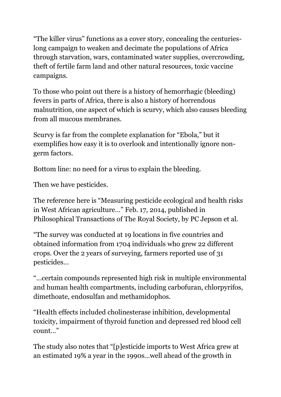"The killer virus" functions as a cover story, concealing the centurieslong campaign to weaken and decimate the populations of Africa through starvation, wars, contaminated water supplies, overcrowding, theft of fertile farm land and other natural resources, toxic vaccine campaigns.

To those who point out there is a history of hemorrhagic (bleeding) fevers in parts of Africa, there is also a history of horrendous malnutrition, one aspect of which is scurvy, which also causes bleeding from all mucous membranes.

Scurvy is far from the complete explanation for "Ebola," but it exemplifies how easy it is to overlook and intentionally ignore nongerm factors.

Bottom line: no need for a virus to explain the bleeding.

Then we have pesticides.

The reference here is "Measuring pesticide ecological and health risks in West African agriculture…" Feb. 17, 2014, published in Philosophical Transactions of The Royal Society, by PC Jepson et al.

"The survey was conducted at 19 locations in five countries and obtained information from 1704 individuals who grew 22 different crops. Over the 2 years of surveying, farmers reported use of 31 pesticides…

"…certain compounds represented high risk in multiple environmental and human health compartments, including carbofuran, chlorpyrifos, dimethoate, endosulfan and methamidophos.

"Health effects included cholinesterase inhibition, developmental toxicity, impairment of thyroid function and depressed red blood cell count…"

The study also notes that "[p]esticide imports to West Africa grew at an estimated 19% a year in the 1990s…well ahead of the growth in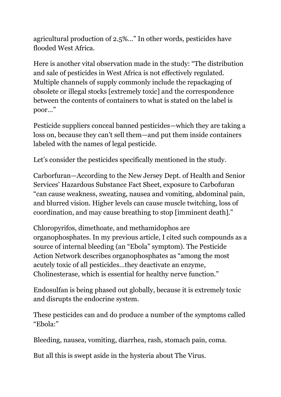agricultural production of 2.5%…" In other words, pesticides have flooded West Africa.

Here is another vital observation made in the study: "The distribution and sale of pesticides in West Africa is not effectively regulated. Multiple channels of supply commonly include the repackaging of obsolete or illegal stocks [extremely toxic] and the correspondence between the contents of containers to what is stated on the label is poor…"

Pesticide suppliers conceal banned pesticides—which they are taking a loss on, because they can't sell them—and put them inside containers labeled with the names of legal pesticide.

Let's consider the pesticides specifically mentioned in the study.

Carborfuran—According to the New Jersey Dept. of Health and Senior Services' Hazardous Substance Fact Sheet, exposure to Carbofuran "can cause weakness, sweating, nausea and vomiting, abdominal pain, and blurred vision. Higher levels can cause muscle twitching, loss of coordination, and may cause breathing to stop [imminent death]."

Chloropyrifos, dimethoate, and methamidophos are organophosphates. In my previous article, I cited such compounds as a source of internal bleeding (an "Ebola" symptom). The Pesticide Action Network describes organophosphates as "among the most acutely toxic of all pesticides…they deactivate an enzyme, Cholinesterase, which is essential for healthy nerve function."

Endosulfan is being phased out globally, because it is extremely toxic and disrupts the endocrine system.

These pesticides can and do produce a number of the symptoms called "Ebola:"

Bleeding, nausea, vomiting, diarrhea, rash, stomach pain, coma.

But all this is swept aside in the hysteria about The Virus.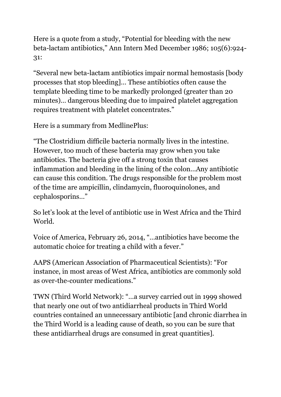Here is a quote from a study, "Potential for bleeding with the new beta-lactam antibiotics," Ann Intern Med December 1986; 105(6):924- 31:

"Several new beta-lactam antibiotics impair normal hemostasis [body processes that stop bleeding]… These antibiotics often cause the template bleeding time to be markedly prolonged (greater than 20 minutes)… dangerous bleeding due to impaired platelet aggregation requires treatment with platelet concentrates."

Here is a summary from MedlinePlus:

"The Clostridium difficile bacteria normally lives in the intestine. However, too much of these bacteria may grow when you take antibiotics. The bacteria give off a strong toxin that causes inflammation and bleeding in the lining of the colon…Any antibiotic can cause this condition. The drugs responsible for the problem most of the time are ampicillin, clindamycin, fluoroquinolones, and cephalosporins…"

So let's look at the level of antibiotic use in West Africa and the Third World.

Voice of America, February 26, 2014, "…antibiotics have become the automatic choice for treating a child with a fever."

AAPS (American Association of Pharmaceutical Scientists): "For instance, in most areas of West Africa, antibiotics are commonly sold as over-the-counter medications."

TWN (Third World Network): "…a survey carried out in 1999 showed that nearly one out of two antidiarrheal products in Third World countries contained an unnecessary antibiotic [and chronic diarrhea in the Third World is a leading cause of death, so you can be sure that these antidiarrheal drugs are consumed in great quantities].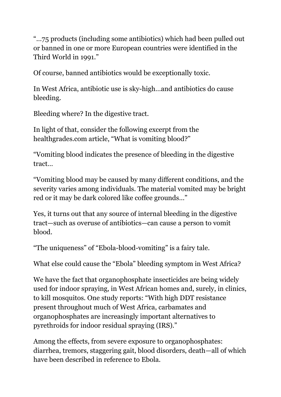"…75 products (including some antibiotics) which had been pulled out or banned in one or more European countries were identified in the Third World in 1991."

Of course, banned antibiotics would be exceptionally toxic.

In West Africa, antibiotic use is sky-high…and antibiotics do cause bleeding.

Bleeding where? In the digestive tract.

In light of that, consider the following excerpt from the healthgrades.com article, "What is vomiting blood?"

"Vomiting blood indicates the presence of bleeding in the digestive tract…

"Vomiting blood may be caused by many different conditions, and the severity varies among individuals. The material vomited may be bright red or it may be dark colored like coffee grounds…"

Yes, it turns out that any source of internal bleeding in the digestive tract—such as overuse of antibiotics—can cause a person to vomit blood.

"The uniqueness" of "Ebola-blood-vomiting" is a fairy tale.

What else could cause the "Ebola" bleeding symptom in West Africa?

We have the fact that organophosphate insecticides are being widely used for indoor spraying, in West African homes and, surely, in clinics, to kill mosquitos. One study reports: "With high DDT resistance present throughout much of West Africa, carbamates and organophosphates are increasingly important alternatives to pyrethroids for indoor residual spraying (IRS)."

Among the effects, from severe exposure to organophosphates: diarrhea, tremors, staggering gait, blood disorders, death—all of which have been described in reference to Ebola.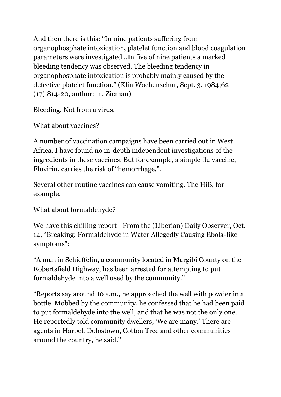And then there is this: "In nine patients suffering from organophosphate intoxication, platelet function and blood coagulation parameters were investigated…In five of nine patients a marked bleeding tendency was observed. The bleeding tendency in organophosphate intoxication is probably mainly caused by the defective platelet function." (Klin Wochenschur, Sept. 3, 1984;62 (17):814-20, author: m. Zieman)

Bleeding. Not from a virus.

What about vaccines?

A number of vaccination campaigns have been carried out in West Africa. I have found no in-depth independent investigations of the ingredients in these vaccines. But for example, a simple flu vaccine, Fluvirin, carries the risk of "hemorrhage.".

Several other routine vaccines can cause vomiting. The HiB, for example.

What about formaldehyde?

We have this chilling report—From the (Liberian) Daily Observer, Oct. 14, "Breaking: Formaldehyde in Water Allegedly Causing Ebola-like symptoms":

"A man in Schieffelin, a community located in Margibi County on the Robertsfield Highway, has been arrested for attempting to put formaldehyde into a well used by the community."

"Reports say around 10 a.m., he approached the well with powder in a bottle. Mobbed by the community, he confessed that he had been paid to put formaldehyde into the well, and that he was not the only one. He reportedly told community dwellers, 'We are many.' There are agents in Harbel, Dolostown, Cotton Tree and other communities around the country, he said."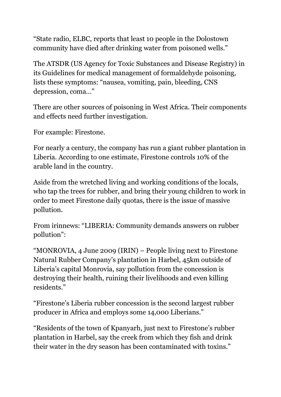"State radio, ELBC, reports that least 10 people in the Dolostown community have died after drinking water from poisoned wells."

The ATSDR (US Agency for Toxic Substances and Disease Registry) in its Guidelines for medical management of formaldehyde poisoning, lists these symptoms: "nausea, vomiting, pain, bleeding, CNS depression, coma…"

There are other sources of poisoning in West Africa. Their components and effects need further investigation.

For example: Firestone.

For nearly a century, the company has run a giant rubber plantation in Liberia. According to one estimate, Firestone controls 10% of the arable land in the country.

Aside from the wretched living and working conditions of the locals, who tap the trees for rubber, and bring their young children to work in order to meet Firestone daily quotas, there is the issue of massive pollution.

From irinnews: "LIBERIA: Community demands answers on rubber pollution":

"MONROVIA, 4 June 2009 (IRIN) – People living next to Firestone Natural Rubber Company's plantation in Harbel, 45km outside of Liberia's capital Monrovia, say pollution from the concession is destroying their health, ruining their livelihoods and even killing residents."

"Firestone's Liberia rubber concession is the second largest rubber producer in Africa and employs some 14,000 Liberians."

"Residents of the town of Kpanyarh, just next to Firestone's rubber plantation in Harbel, say the creek from which they fish and drink their water in the dry season has been contaminated with toxins."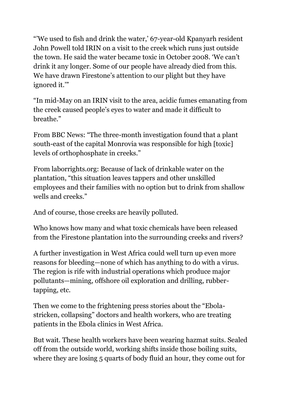"'We used to fish and drink the water,' 67-year-old Kpanyarh resident John Powell told IRIN on a visit to the creek which runs just outside the town. He said the water became toxic in October 2008. 'We can't drink it any longer. Some of our people have already died from this. We have drawn Firestone's attention to our plight but they have ignored it.'"

"In mid-May on an IRIN visit to the area, acidic fumes emanating from the creek caused people's eyes to water and made it difficult to breathe."

From BBC News: "The three-month investigation found that a plant south-east of the capital Monrovia was responsible for high [toxic] levels of orthophosphate in creeks."

From laborrights.org: Because of lack of drinkable water on the plantation, "this situation leaves tappers and other unskilled employees and their families with no option but to drink from shallow wells and creeks."

And of course, those creeks are heavily polluted.

Who knows how many and what toxic chemicals have been released from the Firestone plantation into the surrounding creeks and rivers?

A further investigation in West Africa could well turn up even more reasons for bleeding—none of which has anything to do with a virus. The region is rife with industrial operations which produce major pollutants—mining, offshore oil exploration and drilling, rubbertapping, etc.

Then we come to the frightening press stories about the "Ebolastricken, collapsing" doctors and health workers, who are treating patients in the Ebola clinics in West Africa.

But wait. These health workers have been wearing hazmat suits. Sealed off from the outside world, working shifts inside those boiling suits, where they are losing 5 quarts of body fluid an hour, they come out for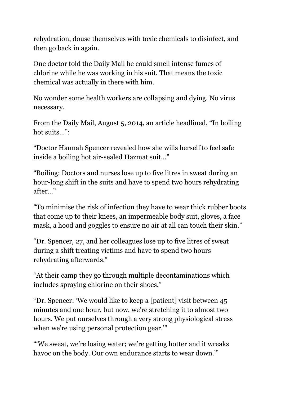rehydration, douse themselves with toxic chemicals to disinfect, and then go back in again.

One doctor told the Daily Mail he could smell intense fumes of chlorine while he was working in his suit. That means the toxic chemical was actually in there with him.

No wonder some health workers are collapsing and dying. No virus necessary.

From the Daily Mail, August 5, 2014, an article headlined, "In boiling hot suits...":

"Doctor Hannah Spencer revealed how she wills herself to feel safe inside a boiling hot air-sealed Hazmat suit…"

"Boiling: Doctors and nurses lose up to five litres in sweat during an hour-long shift in the suits and have to spend two hours rehydrating after…"

"To minimise the risk of infection they have to wear thick rubber boots that come up to their knees, an impermeable body suit, gloves, a face mask, a hood and goggles to ensure no air at all can touch their skin."

"Dr. Spencer, 27, and her colleagues lose up to five litres of sweat during a shift treating victims and have to spend two hours rehydrating afterwards."

"At their camp they go through multiple decontaminations which includes spraying chlorine on their shoes."

"Dr. Spencer: 'We would like to keep a [patient] visit between 45 minutes and one hour, but now, we're stretching it to almost two hours. We put ourselves through a very strong physiological stress when we're using personal protection gear.'"

"'We sweat, we're losing water; we're getting hotter and it wreaks havoc on the body. Our own endurance starts to wear down.'"